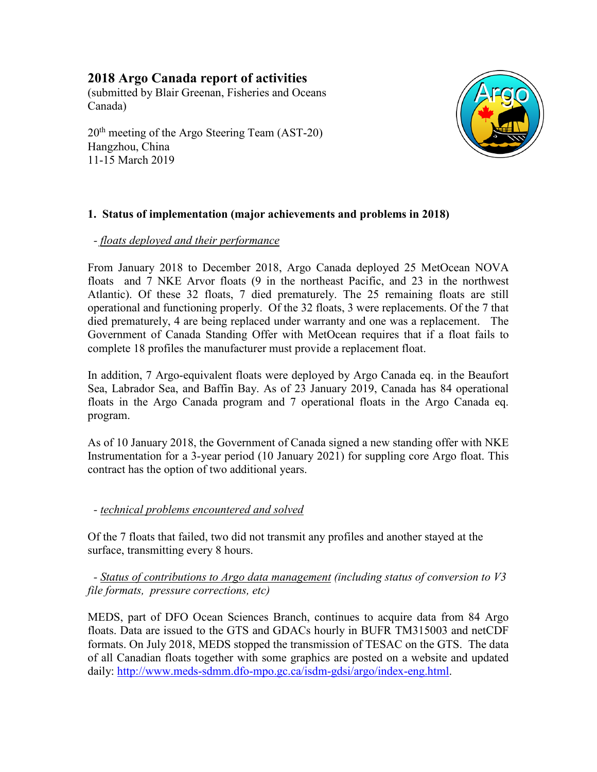# **2018 Argo Canada report of activities**

(submitted by Blair Greenan, Fisheries and Oceans Canada)

20<sup>th</sup> meeting of the Argo Steering Team (AST-20) Hangzhou, China 11-15 March 2019



# **1. Status of implementation (major achievements and problems in 2018)**

## *- floats deployed and their performance*

From January 2018 to December 2018, Argo Canada deployed 25 MetOcean NOVA floats and 7 NKE Arvor floats (9 in the northeast Pacific, and 23 in the northwest Atlantic). Of these 32 floats, 7 died prematurely. The 25 remaining floats are still operational and functioning properly. Of the 32 floats, 3 were replacements. Of the 7 that died prematurely, 4 are being replaced under warranty and one was a replacement. The Government of Canada Standing Offer with MetOcean requires that if a float fails to complete 18 profiles the manufacturer must provide a replacement float.

In addition, 7 Argo-equivalent floats were deployed by Argo Canada eq. in the Beaufort Sea, Labrador Sea, and Baffin Bay. As of 23 January 2019, Canada has 84 operational floats in the Argo Canada program and 7 operational floats in the Argo Canada eq. program.

As of 10 January 2018, the Government of Canada signed a new standing offer with NKE Instrumentation for a 3-year period (10 January 2021) for suppling core Argo float. This contract has the option of two additional years.

## *- technical problems encountered and solved*

Of the 7 floats that failed, two did not transmit any profiles and another stayed at the surface, transmitting every 8 hours.

 *- Status of contributions to Argo data management (including status of conversion to V3 file formats, pressure corrections, etc)*

MEDS, part of DFO Ocean Sciences Branch, continues to acquire data from 84 Argo floats. Data are issued to the GTS and GDACs hourly in BUFR TM315003 and netCDF formats. On July 2018, MEDS stopped the transmission of TESAC on the GTS. The data of all Canadian floats together with some graphics are posted on a website and updated daily: [http://www.meds-sdmm.dfo-mpo.gc.ca/isdm-gdsi/argo/index-eng.html.](http://www.meds-sdmm.dfo-mpo.gc.ca/isdm-gdsi/argo/index-eng.html)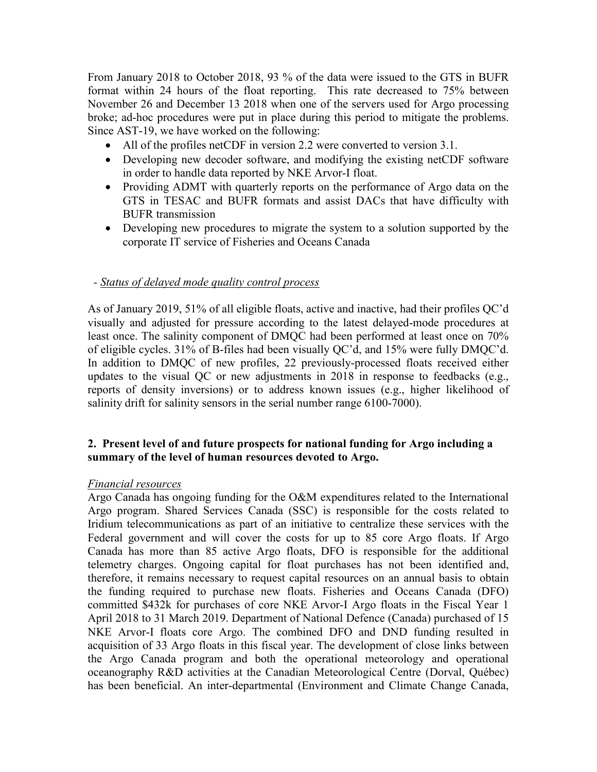From January 2018 to October 2018, 93 % of the data were issued to the GTS in BUFR format within 24 hours of the float reporting. This rate decreased to 75% between November 26 and December 13 2018 when one of the servers used for Argo processing broke; ad-hoc procedures were put in place during this period to mitigate the problems. Since AST-19, we have worked on the following:

- All of the profiles netCDF in version 2.2 were converted to version 3.1.
- Developing new decoder software, and modifying the existing netCDF software in order to handle data reported by NKE Arvor-I float.
- Providing ADMT with quarterly reports on the performance of Argo data on the GTS in TESAC and BUFR formats and assist DACs that have difficulty with BUFR transmission
- Developing new procedures to migrate the system to a solution supported by the corporate IT service of Fisheries and Oceans Canada

### *- Status of delayed mode quality control process*

As of January 2019, 51% of all eligible floats, active and inactive, had their profiles QC'd visually and adjusted for pressure according to the latest delayed-mode procedures at least once. The salinity component of DMQC had been performed at least once on 70% of eligible cycles. 31% of B-files had been visually QC'd, and 15% were fully DMQC'd. In addition to DMQC of new profiles, 22 previously-processed floats received either updates to the visual QC or new adjustments in 2018 in response to feedbacks (e.g., reports of density inversions) or to address known issues (e.g., higher likelihood of salinity drift for salinity sensors in the serial number range 6100-7000).

### **2. Present level of and future prospects for national funding for Argo including a summary of the level of human resources devoted to Argo.**

#### *Financial resources*

Argo Canada has ongoing funding for the O&M expenditures related to the International Argo program. Shared Services Canada (SSC) is responsible for the costs related to Iridium telecommunications as part of an initiative to centralize these services with the Federal government and will cover the costs for up to 85 core Argo floats. If Argo Canada has more than 85 active Argo floats, DFO is responsible for the additional telemetry charges. Ongoing capital for float purchases has not been identified and, therefore, it remains necessary to request capital resources on an annual basis to obtain the funding required to purchase new floats. Fisheries and Oceans Canada (DFO) committed \$432k for purchases of core NKE Arvor-I Argo floats in the Fiscal Year 1 April 2018 to 31 March 2019. Department of National Defence (Canada) purchased of 15 NKE Arvor-I floats core Argo. The combined DFO and DND funding resulted in acquisition of 33 Argo floats in this fiscal year. The development of close links between the Argo Canada program and both the operational meteorology and operational oceanography R&D activities at the Canadian Meteorological Centre (Dorval, Québec) has been beneficial. An inter-departmental (Environment and Climate Change Canada,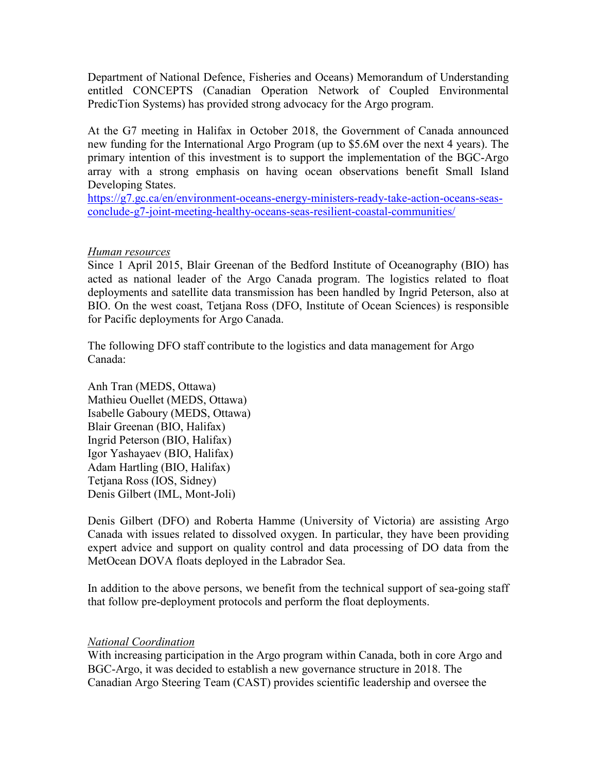Department of National Defence, Fisheries and Oceans) Memorandum of Understanding entitled CONCEPTS (Canadian Operation Network of Coupled Environmental PredicTion Systems) has provided strong advocacy for the Argo program.

At the G7 meeting in Halifax in October 2018, the Government of Canada announced new funding for the International Argo Program (up to \$5.6M over the next 4 years). The primary intention of this investment is to support the implementation of the BGC-Argo array with a strong emphasis on having ocean observations benefit Small Island Developing States.

[https://g7.gc.ca/en/environment-oceans-energy-ministers-ready-take-action-oceans-seas](https://g7.gc.ca/en/environment-oceans-energy-ministers-ready-take-action-oceans-seas-conclude-g7-joint-meeting-healthy-oceans-seas-resilient-coastal-communities/)[conclude-g7-joint-meeting-healthy-oceans-seas-resilient-coastal-communities/](https://g7.gc.ca/en/environment-oceans-energy-ministers-ready-take-action-oceans-seas-conclude-g7-joint-meeting-healthy-oceans-seas-resilient-coastal-communities/)

### *Human resources*

Since 1 April 2015, Blair Greenan of the Bedford Institute of Oceanography (BIO) has acted as national leader of the Argo Canada program. The logistics related to float deployments and satellite data transmission has been handled by Ingrid Peterson, also at BIO. On the west coast, Tetjana Ross (DFO, Institute of Ocean Sciences) is responsible for Pacific deployments for Argo Canada.

The following DFO staff contribute to the logistics and data management for Argo Canada:

Anh Tran (MEDS, Ottawa) Mathieu Ouellet (MEDS, Ottawa) Isabelle Gaboury (MEDS, Ottawa) Blair Greenan (BIO, Halifax) Ingrid Peterson (BIO, Halifax) Igor Yashayaev (BIO, Halifax) Adam Hartling (BIO, Halifax) Tetjana Ross (IOS, Sidney) Denis Gilbert (IML, Mont-Joli)

Denis Gilbert (DFO) and Roberta Hamme (University of Victoria) are assisting Argo Canada with issues related to dissolved oxygen. In particular, they have been providing expert advice and support on quality control and data processing of DO data from the MetOcean DOVA floats deployed in the Labrador Sea.

In addition to the above persons, we benefit from the technical support of sea-going staff that follow pre-deployment protocols and perform the float deployments.

### *National Coordination*

With increasing participation in the Argo program within Canada, both in core Argo and BGC-Argo, it was decided to establish a new governance structure in 2018. The Canadian Argo Steering Team (CAST) provides scientific leadership and oversee the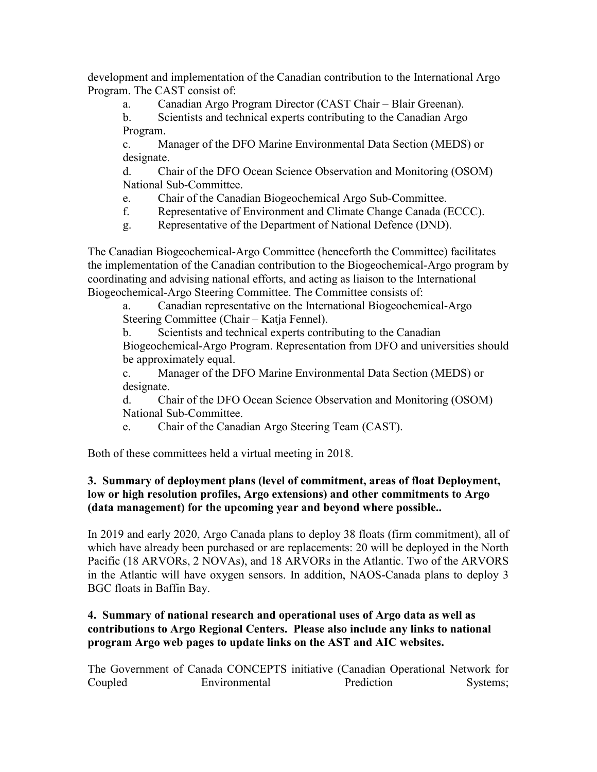development and implementation of the Canadian contribution to the International Argo Program. The CAST consist of:

a. Canadian Argo Program Director (CAST Chair – Blair Greenan).

b. Scientists and technical experts contributing to the Canadian Argo Program.

c. Manager of the DFO Marine Environmental Data Section (MEDS) or designate.

d. Chair of the DFO Ocean Science Observation and Monitoring (OSOM) National Sub-Committee.

- e. Chair of the Canadian Biogeochemical Argo Sub-Committee.
- f. Representative of Environment and Climate Change Canada (ECCC).
- g. Representative of the Department of National Defence (DND).

The Canadian Biogeochemical-Argo Committee (henceforth the Committee) facilitates the implementation of the Canadian contribution to the Biogeochemical-Argo program by coordinating and advising national efforts, and acting as liaison to the International Biogeochemical-Argo Steering Committee. The Committee consists of:

a. Canadian representative on the International Biogeochemical-Argo Steering Committee (Chair – Katja Fennel).

b. Scientists and technical experts contributing to the Canadian Biogeochemical-Argo Program. Representation from DFO and universities should be approximately equal.

c. Manager of the DFO Marine Environmental Data Section (MEDS) or designate.

d. Chair of the DFO Ocean Science Observation and Monitoring (OSOM) National Sub-Committee.

e. Chair of the Canadian Argo Steering Team (CAST).

Both of these committees held a virtual meeting in 2018.

# **3. Summary of deployment plans (level of commitment, areas of float Deployment, low or high resolution profiles, Argo extensions) and other commitments to Argo (data management) for the upcoming year and beyond where possible..**

In 2019 and early 2020, Argo Canada plans to deploy 38 floats (firm commitment), all of which have already been purchased or are replacements: 20 will be deployed in the North Pacific (18 ARVORs, 2 NOVAs), and 18 ARVORs in the Atlantic. Two of the ARVORS in the Atlantic will have oxygen sensors. In addition, NAOS-Canada plans to deploy 3 BGC floats in Baffin Bay.

# **4. Summary of national research and operational uses of Argo data as well as contributions to Argo Regional Centers. Please also include any links to national program Argo web pages to update links on the AST and AIC websites.**

The Government of Canada CONCEPTS initiative (Canadian Operational Network for Coupled Environmental Prediction Systems;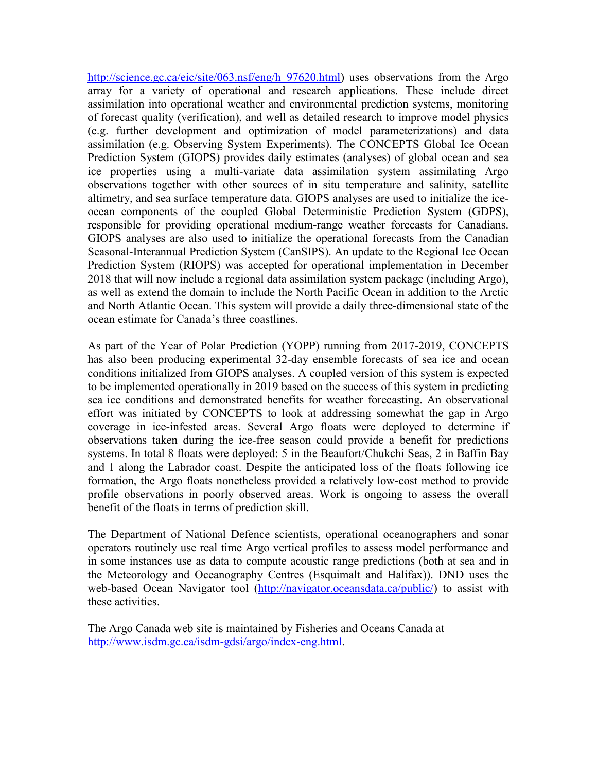http://science.gc.ca/eic/site/063.nsf/eng/h 97620.html) uses observations from the Argo array for a variety of operational and research applications. These include direct assimilation into operational weather and environmental prediction systems, monitoring of forecast quality (verification), and well as detailed research to improve model physics (e.g. further development and optimization of model parameterizations) and data assimilation (e.g. Observing System Experiments). The CONCEPTS Global Ice Ocean Prediction System (GIOPS) provides daily estimates (analyses) of global ocean and sea ice properties using a multi-variate data assimilation system assimilating Argo observations together with other sources of in situ temperature and salinity, satellite altimetry, and sea surface temperature data. GIOPS analyses are used to initialize the iceocean components of the coupled Global Deterministic Prediction System (GDPS), responsible for providing operational medium-range weather forecasts for Canadians. GIOPS analyses are also used to initialize the operational forecasts from the Canadian Seasonal-Interannual Prediction System (CanSIPS). An update to the Regional Ice Ocean Prediction System (RIOPS) was accepted for operational implementation in December 2018 that will now include a regional data assimilation system package (including Argo), as well as extend the domain to include the North Pacific Ocean in addition to the Arctic and North Atlantic Ocean. This system will provide a daily three-dimensional state of the ocean estimate for Canada's three coastlines.

As part of the Year of Polar Prediction (YOPP) running from 2017-2019, CONCEPTS has also been producing experimental 32-day ensemble forecasts of sea ice and ocean conditions initialized from GIOPS analyses. A coupled version of this system is expected to be implemented operationally in 2019 based on the success of this system in predicting sea ice conditions and demonstrated benefits for weather forecasting. An observational effort was initiated by CONCEPTS to look at addressing somewhat the gap in Argo coverage in ice-infested areas. Several Argo floats were deployed to determine if observations taken during the ice-free season could provide a benefit for predictions systems. In total 8 floats were deployed: 5 in the Beaufort/Chukchi Seas, 2 in Baffin Bay and 1 along the Labrador coast. Despite the anticipated loss of the floats following ice formation, the Argo floats nonetheless provided a relatively low-cost method to provide profile observations in poorly observed areas. Work is ongoing to assess the overall benefit of the floats in terms of prediction skill.

The Department of National Defence scientists, operational oceanographers and sonar operators routinely use real time Argo vertical profiles to assess model performance and in some instances use as data to compute acoustic range predictions (both at sea and in the Meteorology and Oceanography Centres (Esquimalt and Halifax)). DND uses the web-based Ocean Navigator tool [\(http://navigator.oceansdata.ca/public/\)](http://navigator.oceansdata.ca/public/) to assist with these activities.

The Argo Canada web site is maintained by Fisheries and Oceans Canada at [http://www.isdm.gc.ca/isdm-gdsi/argo/index-eng.html.](http://www.isdm.gc.ca/isdm-gdsi/argo/index-eng.html)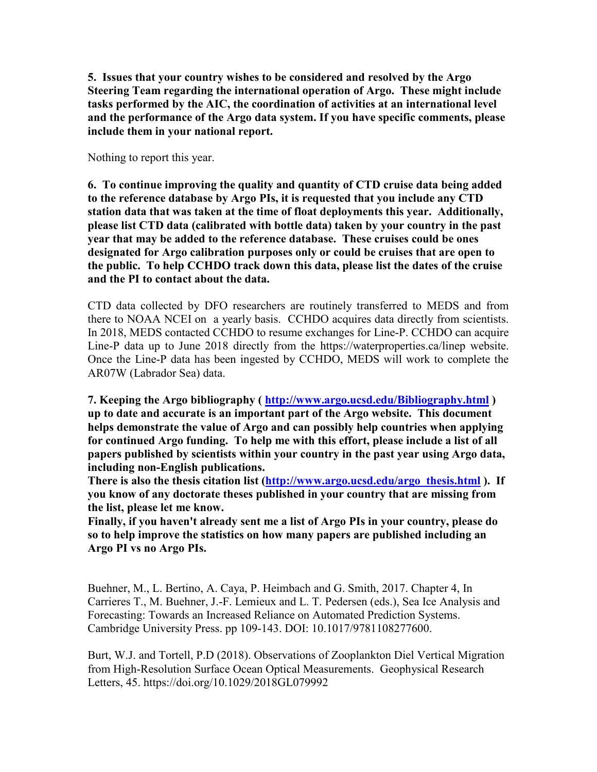**5. Issues that your country wishes to be considered and resolved by the Argo Steering Team regarding the international operation of Argo. These might include tasks performed by the AIC, the coordination of activities at an international level and the performance of the Argo data system. If you have specific comments, please include them in your national report.**

Nothing to report this year.

**6. To continue improving the quality and quantity of CTD cruise data being added to the reference database by Argo PIs, it is requested that you include any CTD station data that was taken at the time of float deployments this year. Additionally, please list CTD data (calibrated with bottle data) taken by your country in the past year that may be added to the reference database. These cruises could be ones designated for Argo calibration purposes only or could be cruises that are open to the public. To help CCHDO track down this data, please list the dates of the cruise and the PI to contact about the data.**

CTD data collected by DFO researchers are routinely transferred to MEDS and from there to NOAA NCEI on a yearly basis. CCHDO acquires data directly from scientists. In 2018, MEDS contacted CCHDO to resume exchanges for Line-P. CCHDO can acquire Line-P data up to June 2018 directly from the https://waterproperties.ca/linep website. Once the Line-P data has been ingested by CCHDO, MEDS will work to complete the AR07W (Labrador Sea) data.

**7. Keeping the Argo bibliography (<http://www.argo.ucsd.edu/Bibliography.html> ) up to date and accurate is an important part of the Argo website. This document helps demonstrate the value of Argo and can possibly help countries when applying for continued Argo funding. To help me with this effort, please include a list of all papers published by scientists within your country in the past year using Argo data, including non-English publications.** 

**There is also the thesis citation list [\(http://www.argo.ucsd.edu/argo\\_thesis.html](http://www.argo.ucsd.edu/argo_thesis.html)).** If **you know of any doctorate theses published in your country that are missing from the list, please let me know.**

**Finally, if you haven't already sent me a list of Argo PIs in your country, please do so to help improve the statistics on how many papers are published including an Argo PI vs no Argo PIs.**

Buehner, M., L. Bertino, A. Caya, P. Heimbach and G. Smith, 2017. Chapter 4, In Carrieres T., M. Buehner, J.-F. Lemieux and L. T. Pedersen (eds.), Sea Ice Analysis and Forecasting: Towards an Increased Reliance on Automated Prediction Systems. Cambridge University Press. pp 109-143. DOI: 10.1017/9781108277600.

Burt, W.J. and Tortell, P.D (2018). Observations of Zooplankton Diel Vertical Migration from High-Resolution Surface Ocean Optical Measurements. Geophysical Research Letters, 45. https://doi.org/10.1029/2018GL079992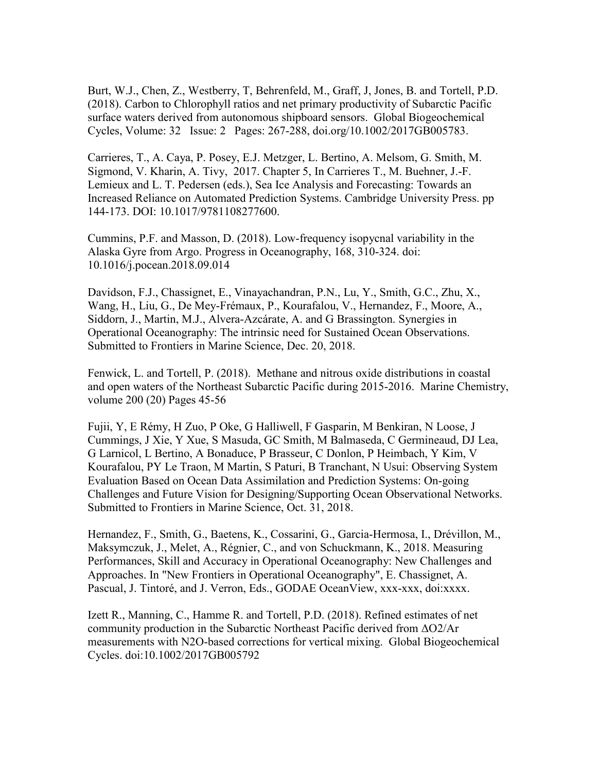Burt, W.J., Chen, Z., Westberry, T, Behrenfeld, M., Graff, J, Jones, B. and Tortell, P.D. (2018). Carbon to Chlorophyll ratios and net primary productivity of Subarctic Pacific surface waters derived from autonomous shipboard sensors. Global Biogeochemical Cycles, Volume: 32 Issue: 2 Pages: 267-288, doi.org/10.1002/2017GB005783.

Carrieres, T., A. Caya, P. Posey, E.J. Metzger, L. Bertino, A. Melsom, G. Smith, M. Sigmond, V. Kharin, A. Tivy, 2017. Chapter 5, In Carrieres T., M. Buehner, J.-F. Lemieux and L. T. Pedersen (eds.), Sea Ice Analysis and Forecasting: Towards an Increased Reliance on Automated Prediction Systems. Cambridge University Press. pp 144-173. DOI: 10.1017/9781108277600.

Cummins, P.F. and Masson, D. (2018). Low-frequency isopycnal variability in the Alaska Gyre from Argo. Progress in Oceanography, 168, 310-324. doi: 10.1016/j.pocean.2018.09.014

Davidson, F.J., Chassignet, E., Vinayachandran, P.N., Lu, Y., Smith, G.C., Zhu, X., Wang, H., Liu, G., De Mey-Frémaux, P., Kourafalou, V., Hernandez, F., Moore, A., Siddorn, J., Martin, M.J., Alvera-Azcárate, A. and G Brassington. Synergies in Operational Oceanography: The intrinsic need for Sustained Ocean Observations. Submitted to Frontiers in Marine Science, Dec. 20, 2018.

Fenwick, L. and Tortell, P. (2018). Methane and nitrous oxide distributions in coastal and open waters of the Northeast Subarctic Pacific during 2015-2016. Marine Chemistry, volume 200 (20) Pages 45-56

Fujii, Y, E Rémy, H Zuo, P Oke, G Halliwell, F Gasparin, M Benkiran, N Loose, J Cummings, J Xie, Y Xue, S Masuda, GC Smith, M Balmaseda, C Germineaud, DJ Lea, G Larnicol, L Bertino, A Bonaduce, P Brasseur, C Donlon, P Heimbach, Y Kim, V Kourafalou, PY Le Traon, M Martin, S Paturi, B Tranchant, N Usui: Observing System Evaluation Based on Ocean Data Assimilation and Prediction Systems: On-going Challenges and Future Vision for Designing/Supporting Ocean Observational Networks. Submitted to Frontiers in Marine Science, Oct. 31, 2018.

Hernandez, F., Smith, G., Baetens, K., Cossarini, G., Garcia-Hermosa, I., Drévillon, M., Maksymczuk, J., Melet, A., Régnier, C., and von Schuckmann, K., 2018. Measuring Performances, Skill and Accuracy in Operational Oceanography: New Challenges and Approaches. In "New Frontiers in Operational Oceanography", E. Chassignet, A. Pascual, J. Tintoré, and J. Verron, Eds., GODAE OceanView, xxx-xxx, doi:xxxx.

Izett R., Manning, C., Hamme R. and Tortell, P.D. (2018). Refined estimates of net community production in the Subarctic Northeast Pacific derived from ΔO2/Ar measurements with N2O-based corrections for vertical mixing. Global Biogeochemical Cycles. doi:10.1002/2017GB005792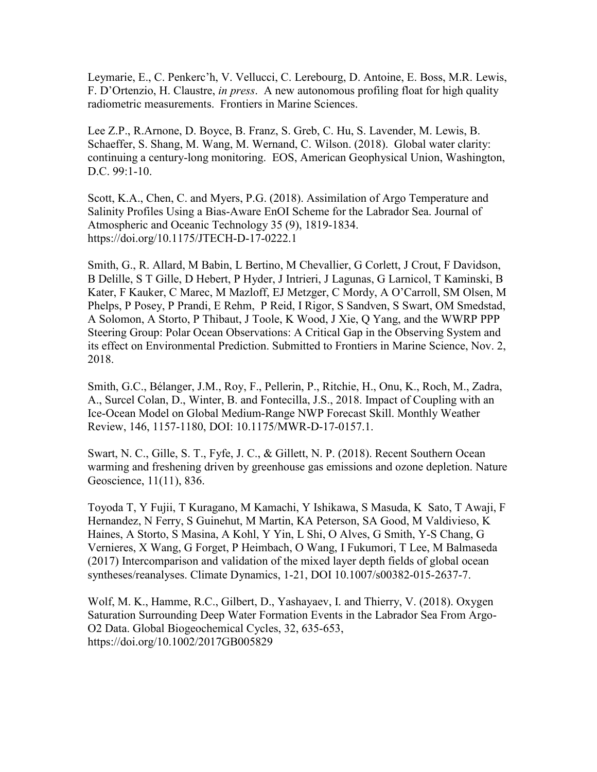Leymarie, E., C. Penkerc'h, V. Vellucci, C. Lerebourg, D. Antoine, E. Boss, M.R. Lewis, F. D'Ortenzio, H. Claustre, *in press*. A new autonomous profiling float for high quality radiometric measurements. Frontiers in Marine Sciences.

Lee Z.P., R.Arnone, D. Boyce, B. Franz, S. Greb, C. Hu, S. Lavender, M. Lewis, B. Schaeffer, S. Shang, M. Wang, M. Wernand, C. Wilson. (2018). Global water clarity: continuing a century-long monitoring. EOS, American Geophysical Union, Washington, D.C. 99:1-10.

Scott, K.A., Chen, C. and Myers, P.G. (2018). Assimilation of Argo Temperature and Salinity Profiles Using a Bias-Aware EnOI Scheme for the Labrador Sea. Journal of Atmospheric and Oceanic Technology 35 (9), 1819-1834. https://doi.org/10.1175/JTECH-D-17-0222.1

Smith, G., R. Allard, M Babin, L Bertino, M Chevallier, G Corlett, J Crout, F Davidson, B Delille, S T Gille, D Hebert, P Hyder, J Intrieri, J Lagunas, G Larnicol, T Kaminski, B Kater, F Kauker, C Marec, M Mazloff, EJ Metzger, C Mordy, A O'Carroll, SM Olsen, M Phelps, P Posey, P Prandi, E Rehm, P Reid, I Rigor, S Sandven, S Swart, OM Smedstad, A Solomon, A Storto, P Thibaut, J Toole, K Wood, J Xie, Q Yang, and the WWRP PPP Steering Group: Polar Ocean Observations: A Critical Gap in the Observing System and its effect on Environmental Prediction. Submitted to Frontiers in Marine Science, Nov. 2, 2018.

Smith, G.C., Bélanger, J.M., Roy, F., Pellerin, P., Ritchie, H., Onu, K., Roch, M., Zadra, A., Surcel Colan, D., Winter, B. and Fontecilla, J.S., 2018. Impact of Coupling with an Ice-Ocean Model on Global Medium-Range NWP Forecast Skill. Monthly Weather Review, 146, 1157-1180, DOI: 10.1175/MWR-D-17-0157.1.

Swart, N. C., Gille, S. T., Fyfe, J. C., & Gillett, N. P. (2018). Recent Southern Ocean warming and freshening driven by greenhouse gas emissions and ozone depletion. Nature Geoscience, 11(11), 836.

Toyoda T, Y Fujii, T Kuragano, M Kamachi, Y Ishikawa, S Masuda, K Sato, T Awaji, F Hernandez, N Ferry, S Guinehut, M Martin, KA Peterson, SA Good, M Valdivieso, K Haines, A Storto, S Masina, A Kohl, Y Yin, L Shi, O Alves, G Smith, Y-S Chang, G Vernieres, X Wang, G Forget, P Heimbach, O Wang, I Fukumori, T Lee, M Balmaseda (2017) Intercomparison and validation of the mixed layer depth fields of global ocean syntheses/reanalyses. Climate Dynamics, 1-21, DOI 10.1007/s00382-015-2637-7.

Wolf, M. K., Hamme, R.C., Gilbert, D., Yashayaev, I. and Thierry, V. (2018). Oxygen Saturation Surrounding Deep Water Formation Events in the Labrador Sea From Argo-O2 Data. Global Biogeochemical Cycles, 32, 635-653, https://doi.org/10.1002/2017GB005829